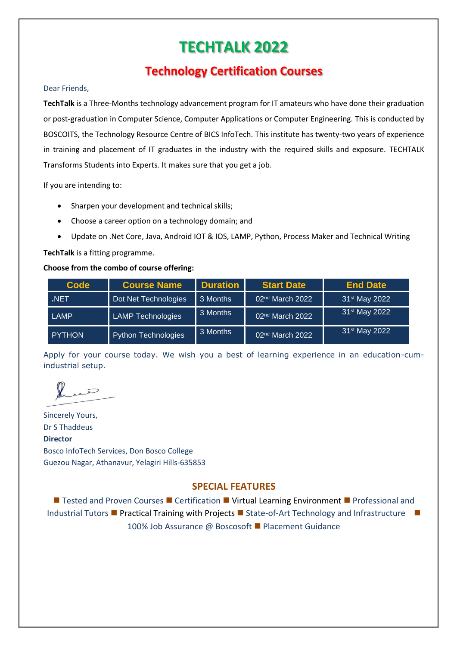# **TECHTALK 2022**

## **Technology Certification Courses**

#### Dear Friends,

**TechTalk** is a Three-Months technology advancement program for IT amateurs who have done their graduation or post-graduation in Computer Science, Computer Applications or Computer Engineering. This is conducted by BOSCOITS, the Technology Resource Centre of BICS InfoTech. This institute has twenty-two years of experience in training and placement of IT graduates in the industry with the required skills and exposure. TECHTALK Transforms Students into Experts. It makes sure that you get a job.

If you are intending to:

- Sharpen your development and technical skills;
- Choose a career option on a technology domain; and
- Update on .Net Core, Java, Android IOT & IOS, LAMP, Python, Process Maker and Technical Writing

**TechTalk** is a fitting programme.

#### **Choose from the combo of course offering:**

| <b>Code</b>   | <b>Course Name</b>       | <b>Duration</b> | <b>Start Date</b>           | <b>End Date</b>           |
|---------------|--------------------------|-----------------|-----------------------------|---------------------------|
| <b>NET</b>    | Dot Net Technologies     | 3 Months        | 02 <sup>nd</sup> March 2022 | 31 <sup>st</sup> May 2022 |
| LAMP          | <b>LAMP Technologies</b> | 3 Months        | 02 <sup>nd</sup> March 2022 | 31 <sup>st</sup> May 2022 |
| <b>PYTHON</b> | Python Technologies      | 3 Months        | 02 <sup>nd</sup> March 2022 | 31 <sup>st</sup> May 2022 |

Apply for your course today. We wish you a best of learning experience in an education-cumindustrial setup.

Quee

Sincerely Yours, Dr S Thaddeus **Director** Bosco InfoTech Services, Don Bosco College Guezou Nagar, Athanavur, Yelagiri Hills-635853

### **SPECIAL FEATURES**

■ Tested and Proven Courses ■ Certification ■ Virtual Learning Environment ■ Professional and Industrial Tutors ■ Practical Training with Projects ■ State-of-Art Technology and Infrastructure ■ 100% Job Assurance @ Boscosoft ■ Placement Guidance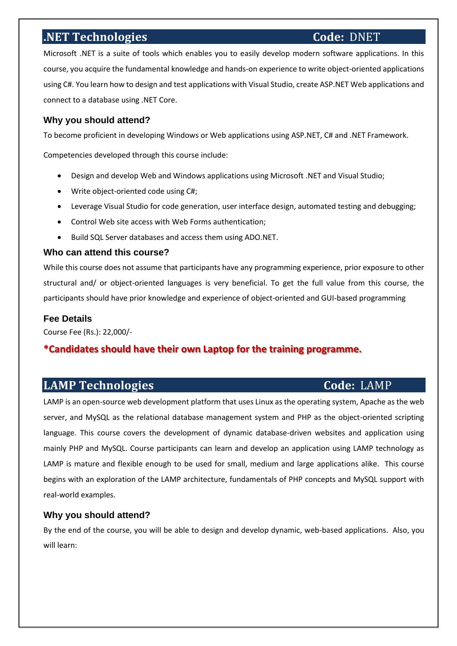## **.NET Technologies Code: DNET**

Microsoft .NET is a suite of tools which enables you to easily develop modern software applications. In this course, you acquire the fundamental knowledge and hands-on experience to write object-oriented applications using C#. You learn how to design and test applications with Visual Studio, create ASP.NET Web applications and connect to a database using .NET Core.

#### **Why you should attend?**

To become proficient in developing Windows or Web applications using ASP.NET, C# and .NET Framework.

Competencies developed through this course include:

- Design and develop Web and Windows applications using Microsoft .NET and Visual Studio;
- Write object-oriented code using C#;
- Leverage Visual Studio for code generation, user interface design, automated testing and debugging;
- Control Web site access with Web Forms authentication;
- Build SQL Server databases and access them using ADO.NET.

#### **Who can attend this course?**

While this course does not assume that participants have any programming experience, prior exposure to other structural and/ or object-oriented languages is very beneficial. To get the full value from this course, the participants should have prior knowledge and experience of object-oriented and GUI-based programming

#### **Fee Details**

Course Fee (Rs.): 22,000/-

#### **\*Candidates should have their own Laptop for the training programme.**

## **LAMP Technologies** Code: LAMP

LAMP is an open-source web development platform that uses Linux as the operating system, Apache as the web server, and MySQL as the relational database management system and PHP as the object-oriented scripting language. This course covers the development of dynamic database-driven websites and application using mainly PHP and MySQL. Course participants can learn and develop an application using LAMP technology as LAMP is mature and flexible enough to be used for small, medium and large applications alike. This course begins with an exploration of the LAMP architecture, fundamentals of PHP concepts and MySQL support with real-world examples.

#### **Why you should attend?**

By the end of the course, you will be able to design and develop dynamic, web-based applications. Also, you will learn: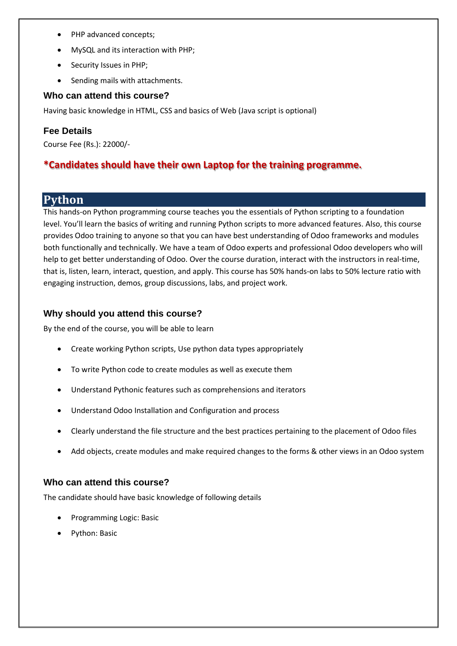- PHP advanced concepts;
- MySQL and its interaction with PHP;
- Security Issues in PHP;
- Sending mails with attachments.

#### **Who can attend this course?**

Having basic knowledge in HTML, CSS and basics of Web (Java script is optional)

#### **Fee Details**

Course Fee (Rs.): 22000/-

## **\*Candidates should have their own Laptop for the training programme.**

## **Python**

This hands-on Python programming course teaches you the essentials of Python scripting to a foundation level. You'll learn the basics of writing and running Python scripts to more advanced features. Also, this course provides Odoo training to anyone so that you can have best understanding of Odoo frameworks and modules both functionally and technically. We have a team of Odoo experts and professional Odoo developers who will help to get better understanding of Odoo. Over the course duration, interact with the instructors in real-time, that is, listen, learn, interact, question, and apply. This course has 50% hands-on labs to 50% lecture ratio with engaging instruction, demos, group discussions, labs, and project work.

#### **Why should you attend this course?**

By the end of the course, you will be able to learn

- Create working Python scripts, Use python data types appropriately
- To write Python code to create modules as well as execute them
- Understand Pythonic features such as comprehensions and iterators
- Understand Odoo Installation and Configuration and process
- Clearly understand the file structure and the best practices pertaining to the placement of Odoo files
- Add objects, create modules and make required changes to the forms & other views in an Odoo system

#### **Who can attend this course?**

The candidate should have basic knowledge of following details

- Programming Logic: Basic
- Python: Basic